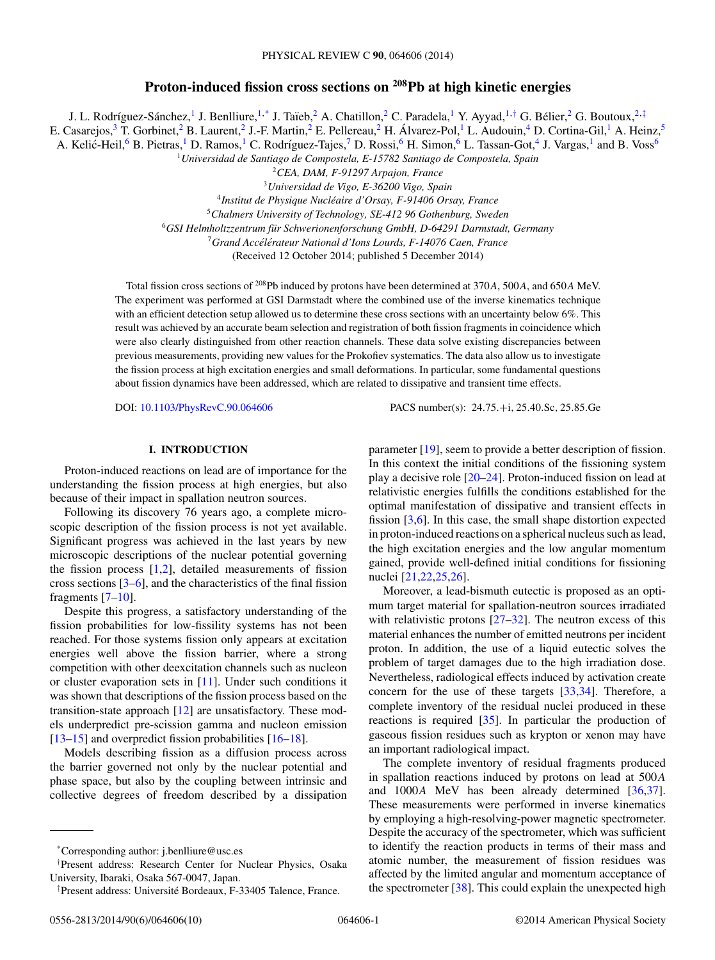# **Proton-induced fission cross sections on 208Pb at high kinetic energies**

J. L. Rodríguez-Sánchez,<sup>1</sup> J. Benlliure,<sup>1,\*</sup> J. Taïeb,<sup>2</sup> A. Chatillon,<sup>2</sup> C. Paradela,<sup>1</sup> Y. Ayyad,<sup>1,†</sup> G. Bélier,<sup>2</sup> G. Boutoux,<sup>2,‡</sup> E. Casarejos,<sup>3</sup> T. Gorbinet,<sup>2</sup> B. Laurent,<sup>2</sup> J.-F. Martin,<sup>2</sup> E. Pellereau,<sup>2</sup> H. Álvarez-Pol,<sup>1</sup> L. Audouin,<sup>4</sup> D. Cortina-Gil,<sup>1</sup> A. Heinz,<sup>5</sup> A. Kelić-Heil, <sup>6</sup> B. Pietras, <sup>1</sup> D. Ramos, <sup>1</sup> C. Rodríguez-Tajes, <sup>7</sup> D. Rossi, <sup>6</sup> H. Simon, <sup>6</sup> L. Tassan-Got, <sup>4</sup> J. Vargas, <sup>1</sup> and B. Voss<sup>6</sup>

<sup>1</sup>*Universidad de Santiago de Compostela, E-15782 Santiago de Compostela, Spain*

<sup>2</sup>*CEA, DAM, F-91297 Arpajon, France*

<sup>3</sup>*Universidad de Vigo, E-36200 Vigo, Spain*

<sup>4</sup>*Institut de Physique Nucleaire d'Orsay, F-91406 Orsay, France ´*

<sup>5</sup>*Chalmers University of Technology, SE-412 96 Gothenburg, Sweden*

<sup>6</sup>*GSI Helmholtzzentrum fur Schwerionenforschung GmbH, D-64291 Darmstadt, Germany ¨*

<sup>7</sup> Grand Accélérateur National d'Ions Lourds, F-14076 Caen, France

(Received 12 October 2014; published 5 December 2014)

Total fission cross sections of 208Pb induced by protons have been determined at 370A, 500A, and 650A MeV. The experiment was performed at GSI Darmstadt where the combined use of the inverse kinematics technique with an efficient detection setup allowed us to determine these cross sections with an uncertainty below 6%. This result was achieved by an accurate beam selection and registration of both fission fragments in coincidence which were also clearly distinguished from other reaction channels. These data solve existing discrepancies between previous measurements, providing new values for the Prokofiev systematics. The data also allow us to investigate the fission process at high excitation energies and small deformations. In particular, some fundamental questions about fission dynamics have been addressed, which are related to dissipative and transient time effects.

DOI: [10.1103/PhysRevC.90.064606](http://dx.doi.org/10.1103/PhysRevC.90.064606) PACS number(s): 24.75.+i, 25.40.Sc, 25.85.Ge

## **I. INTRODUCTION**

Proton-induced reactions on lead are of importance for the understanding the fission process at high energies, but also because of their impact in spallation neutron sources.

Following its discovery 76 years ago, a complete microscopic description of the fission process is not yet available. Significant progress was achieved in the last years by new microscopic descriptions of the nuclear potential governing the fission process  $[1,2]$ , detailed measurements of fission cross sections [\[3–6\]](#page-8-0), and the characteristics of the final fission fragments [\[7–10\]](#page-8-0).

Despite this progress, a satisfactory understanding of the fission probabilities for low-fissility systems has not been reached. For those systems fission only appears at excitation energies well above the fission barrier, where a strong competition with other deexcitation channels such as nucleon or cluster evaporation sets in [\[11\]](#page-8-0). Under such conditions it was shown that descriptions of the fission process based on the transition-state approach  $[12]$  are unsatisfactory. These models underpredict pre-scission gamma and nucleon emission [\[13–15\]](#page-8-0) and overpredict fission probabilities [\[16–18\]](#page-8-0).

Models describing fission as a diffusion process across the barrier governed not only by the nuclear potential and phase space, but also by the coupling between intrinsic and collective degrees of freedom described by a dissipation parameter [\[19\]](#page-8-0), seem to provide a better description of fission. In this context the initial conditions of the fissioning system play a decisive role [\[20–24\]](#page-8-0). Proton-induced fission on lead at relativistic energies fulfills the conditions established for the optimal manifestation of dissipative and transient effects in fission [\[3,6\]](#page-8-0). In this case, the small shape distortion expected in proton-induced reactions on a spherical nucleus such as lead, the high excitation energies and the low angular momentum gained, provide well-defined initial conditions for fissioning nuclei [\[21,22,25,26\]](#page-8-0).

Moreover, a lead-bismuth eutectic is proposed as an optimum target material for spallation-neutron sources irradiated with relativistic protons [\[27–32\]](#page-8-0). The neutron excess of this material enhances the number of emitted neutrons per incident proton. In addition, the use of a liquid eutectic solves the problem of target damages due to the high irradiation dose. Nevertheless, radiological effects induced by activation create concern for the use of these targets [\[33,34\]](#page-8-0). Therefore, a complete inventory of the residual nuclei produced in these reactions is required [\[35\]](#page-8-0). In particular the production of gaseous fission residues such as krypton or xenon may have an important radiological impact.

The complete inventory of residual fragments produced in spallation reactions induced by protons on lead at 500A and 1000A MeV has been already determined [\[36,37\]](#page-8-0). These measurements were performed in inverse kinematics by employing a high-resolving-power magnetic spectrometer. Despite the accuracy of the spectrometer, which was sufficient to identify the reaction products in terms of their mass and atomic number, the measurement of fission residues was affected by the limited angular and momentum acceptance of the spectrometer [\[38\]](#page-8-0). This could explain the unexpected high

<sup>\*</sup>Corresponding author: j.benlliure@usc.es

<sup>†</sup> Present address: Research Center for Nuclear Physics, Osaka University, Ibaraki, Osaka 567-0047, Japan.

<sup>‡</sup>Present address: Université Bordeaux, F-33405 Talence, France.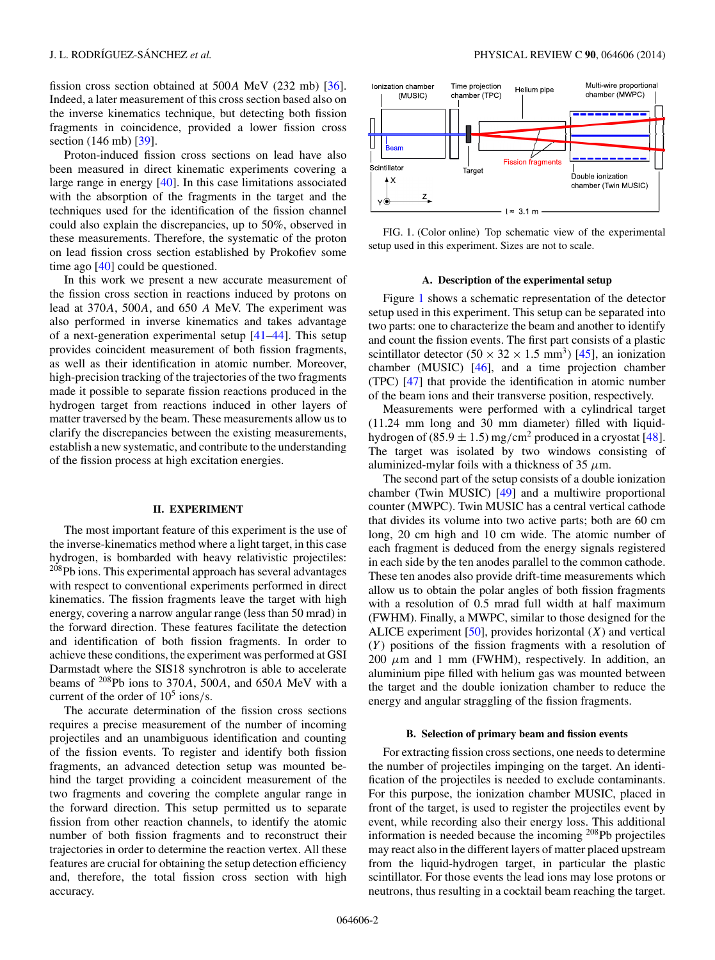fission cross section obtained at 500A MeV (232 mb) [\[36\]](#page-8-0). Indeed, a later measurement of this cross section based also on the inverse kinematics technique, but detecting both fission fragments in coincidence, provided a lower fission cross section (146 mb) [\[39\]](#page-8-0).

Proton-induced fission cross sections on lead have also been measured in direct kinematic experiments covering a large range in energy [\[40\]](#page-8-0). In this case limitations associated with the absorption of the fragments in the target and the techniques used for the identification of the fission channel could also explain the discrepancies, up to 50%, observed in these measurements. Therefore, the systematic of the proton on lead fission cross section established by Prokofiev some time ago [\[40\]](#page-8-0) could be questioned.

In this work we present a new accurate measurement of the fission cross section in reactions induced by protons on lead at 370A, 500A, and 650 A MeV. The experiment was also performed in inverse kinematics and takes advantage of a next-generation experimental setup [\[41–44\]](#page-8-0). This setup provides coincident measurement of both fission fragments, as well as their identification in atomic number. Moreover, high-precision tracking of the trajectories of the two fragments made it possible to separate fission reactions produced in the hydrogen target from reactions induced in other layers of matter traversed by the beam. These measurements allow us to clarify the discrepancies between the existing measurements, establish a new systematic, and contribute to the understanding of the fission process at high excitation energies.

#### **II. EXPERIMENT**

The most important feature of this experiment is the use of the inverse-kinematics method where a light target, in this case hydrogen, is bombarded with heavy relativistic projectiles: <sup>208</sup>Pb ions. This experimental approach has several advantages with respect to conventional experiments performed in direct kinematics. The fission fragments leave the target with high energy, covering a narrow angular range (less than 50 mrad) in the forward direction. These features facilitate the detection and identification of both fission fragments. In order to achieve these conditions, the experiment was performed at GSI Darmstadt where the SIS18 synchrotron is able to accelerate beams of  $^{208}$ Pb ions to 370A, 500A, and 650A MeV with a current of the order of  $10^5$  ions/s.

The accurate determination of the fission cross sections requires a precise measurement of the number of incoming projectiles and an unambiguous identification and counting of the fission events. To register and identify both fission fragments, an advanced detection setup was mounted behind the target providing a coincident measurement of the two fragments and covering the complete angular range in the forward direction. This setup permitted us to separate fission from other reaction channels, to identify the atomic number of both fission fragments and to reconstruct their trajectories in order to determine the reaction vertex. All these features are crucial for obtaining the setup detection efficiency and, therefore, the total fission cross section with high accuracy.



FIG. 1. (Color online) Top schematic view of the experimental setup used in this experiment. Sizes are not to scale.

#### **A. Description of the experimental setup**

Figure 1 shows a schematic representation of the detector setup used in this experiment. This setup can be separated into two parts: one to characterize the beam and another to identify and count the fission events. The first part consists of a plastic scintillator detector  $(50 \times 32 \times 1.5 \text{ mm}^3)$  [\[45\]](#page-8-0), an ionization chamber (MUSIC) [\[46\]](#page-8-0), and a time projection chamber (TPC) [\[47\]](#page-8-0) that provide the identification in atomic number of the beam ions and their transverse position, respectively.

Measurements were performed with a cylindrical target (11.24 mm long and 30 mm diameter) filled with liquidhydrogen of  $(85.9 \pm 1.5)$  mg/cm<sup>2</sup> produced in a cryostat [\[48\]](#page-8-0). The target was isolated by two windows consisting of aluminized-mylar foils with a thickness of 35  $\mu$ m.

The second part of the setup consists of a double ionization chamber (Twin MUSIC) [\[49\]](#page-8-0) and a multiwire proportional counter (MWPC). Twin MUSIC has a central vertical cathode that divides its volume into two active parts; both are 60 cm long, 20 cm high and 10 cm wide. The atomic number of each fragment is deduced from the energy signals registered in each side by the ten anodes parallel to the common cathode. These ten anodes also provide drift-time measurements which allow us to obtain the polar angles of both fission fragments with a resolution of 0.5 mrad full width at half maximum (FWHM). Finally, a MWPC, similar to those designed for the ALICE experiment  $[50]$ , provides horizontal  $(X)$  and vertical  $(Y)$  positions of the fission fragments with a resolution of 200  $\mu$ m and 1 mm (FWHM), respectively. In addition, an aluminium pipe filled with helium gas was mounted between the target and the double ionization chamber to reduce the energy and angular straggling of the fission fragments.

## **B. Selection of primary beam and fission events**

For extracting fission cross sections, one needs to determine the number of projectiles impinging on the target. An identification of the projectiles is needed to exclude contaminants. For this purpose, the ionization chamber MUSIC, placed in front of the target, is used to register the projectiles event by event, while recording also their energy loss. This additional information is needed because the incoming  $^{208}Pb$  projectiles may react also in the different layers of matter placed upstream from the liquid-hydrogen target, in particular the plastic scintillator. For those events the lead ions may lose protons or neutrons, thus resulting in a cocktail beam reaching the target.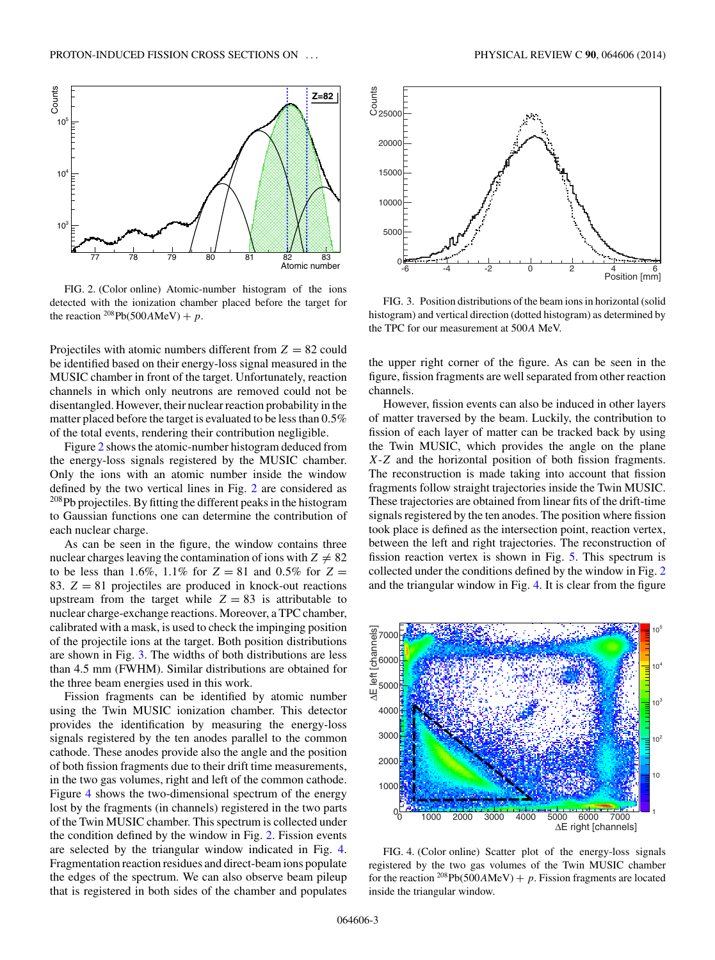<span id="page-2-0"></span>

FIG. 2. (Color online) Atomic-number histogram of the ions detected with the ionization chamber placed before the target for the reaction  $^{208}Pb(500AMeV) + p$ .

Projectiles with atomic numbers different from  $Z = 82$  could be identified based on their energy-loss signal measured in the MUSIC chamber in front of the target. Unfortunately, reaction channels in which only neutrons are removed could not be disentangled. However, their nuclear reaction probability in the matter placed before the target is evaluated to be less than 0.5% of the total events, rendering their contribution negligible.

Figure 2 shows the atomic-number histogram deduced from the energy-loss signals registered by the MUSIC chamber. Only the ions with an atomic number inside the window defined by the two vertical lines in Fig. 2 are considered as <sup>208</sup>Pb projectiles. By fitting the different peaks in the histogram to Gaussian functions one can determine the contribution of each nuclear charge.

As can be seen in the figure, the window contains three nuclear charges leaving the contamination of ions with  $Z \neq 82$ to be less than 1.6%, 1.1% for  $Z = 81$  and 0.5% for  $Z =$ 83.  $Z = 81$  projectiles are produced in knock-out reactions upstream from the target while  $Z = 83$  is attributable to nuclear charge-exchange reactions. Moreover, a TPC chamber, calibrated with a mask, is used to check the impinging position of the projectile ions at the target. Both position distributions are shown in Fig. 3. The widths of both distributions are less than 4.5 mm (FWHM). Similar distributions are obtained for the three beam energies used in this work.

Fission fragments can be identified by atomic number using the Twin MUSIC ionization chamber. This detector provides the identification by measuring the energy-loss signals registered by the ten anodes parallel to the common cathode. These anodes provide also the angle and the position of both fission fragments due to their drift time measurements, in the two gas volumes, right and left of the common cathode. Figure 4 shows the two-dimensional spectrum of the energy lost by the fragments (in channels) registered in the two parts of the Twin MUSIC chamber. This spectrum is collected under the condition defined by the window in Fig. 2. Fission events are selected by the triangular window indicated in Fig. 4. Fragmentation reaction residues and direct-beam ions populate the edges of the spectrum. We can also observe beam pileup that is registered in both sides of the chamber and populates



FIG. 3. Position distributions of the beam ions in horizontal (solid histogram) and vertical direction (dotted histogram) as determined by the TPC for our measurement at 500A MeV.

the upper right corner of the figure. As can be seen in the figure, fission fragments are well separated from other reaction channels.

However, fission events can also be induced in other layers of matter traversed by the beam. Luckily, the contribution to fission of each layer of matter can be tracked back by using the Twin MUSIC, which provides the angle on the plane X-Z and the horizontal position of both fission fragments. The reconstruction is made taking into account that fission fragments follow straight trajectories inside the Twin MUSIC. These trajectories are obtained from linear fits of the drift-time signals registered by the ten anodes. The position where fission took place is defined as the intersection point, reaction vertex, between the left and right trajectories. The reconstruction of fission reaction vertex is shown in Fig. [5.](#page-3-0) This spectrum is collected under the conditions defined by the window in Fig. 2 and the triangular window in Fig. 4. It is clear from the figure



FIG. 4. (Color online) Scatter plot of the energy-loss signals registered by the two gas volumes of the Twin MUSIC chamber for the reaction <sup>208</sup>Pb(500AMeV) + p. Fission fragments are located inside the triangular window.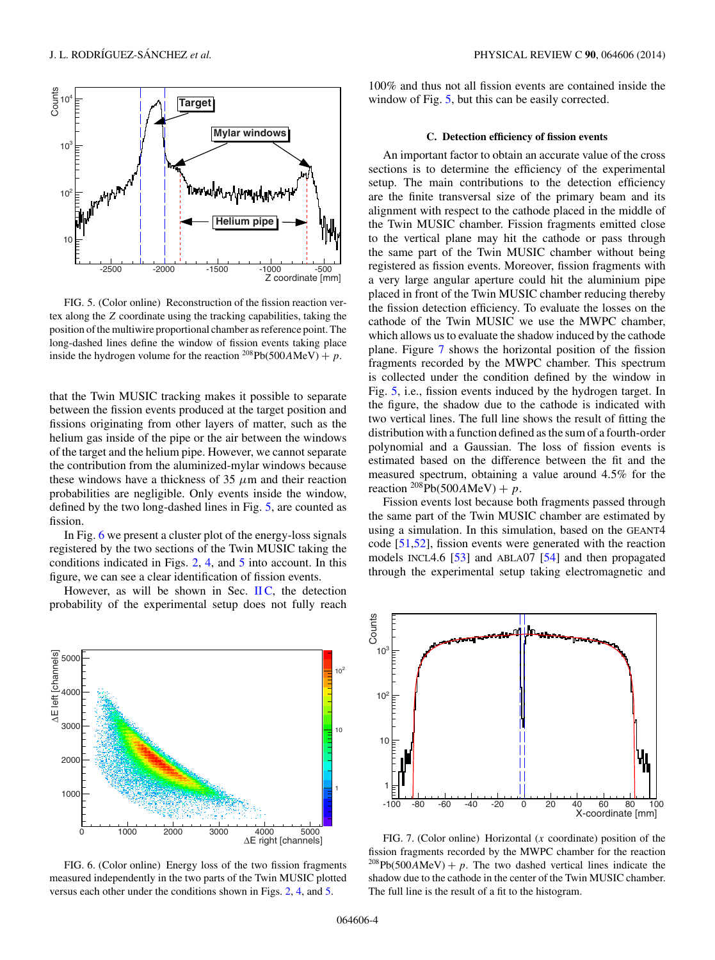<span id="page-3-0"></span>

FIG. 5. (Color online) Reconstruction of the fission reaction vertex along the Z coordinate using the tracking capabilities, taking the position of the multiwire proportional chamber as reference point. The long-dashed lines define the window of fission events taking place inside the hydrogen volume for the reaction <sup>208</sup>Pb(500AMeV) + p.

that the Twin MUSIC tracking makes it possible to separate between the fission events produced at the target position and fissions originating from other layers of matter, such as the helium gas inside of the pipe or the air between the windows of the target and the helium pipe. However, we cannot separate the contribution from the aluminized-mylar windows because these windows have a thickness of 35  $\mu$ m and their reaction probabilities are negligible. Only events inside the window, defined by the two long-dashed lines in Fig. 5, are counted as fission.

In Fig. 6 we present a cluster plot of the energy-loss signals registered by the two sections of the Twin MUSIC taking the conditions indicated in Figs. [2,](#page-2-0) [4,](#page-2-0) and 5 into account. In this figure, we can see a clear identification of fission events.

However, as will be shown in Sec.  $\Pi C$ , the detection probability of the experimental setup does not fully reach



FIG. 6. (Color online) Energy loss of the two fission fragments measured independently in the two parts of the Twin MUSIC plotted versus each other under the conditions shown in Figs. [2,](#page-2-0) [4,](#page-2-0) and 5.

100% and thus not all fission events are contained inside the window of Fig. 5, but this can be easily corrected.

#### **C. Detection efficiency of fission events**

An important factor to obtain an accurate value of the cross sections is to determine the efficiency of the experimental setup. The main contributions to the detection efficiency are the finite transversal size of the primary beam and its alignment with respect to the cathode placed in the middle of the Twin MUSIC chamber. Fission fragments emitted close to the vertical plane may hit the cathode or pass through the same part of the Twin MUSIC chamber without being registered as fission events. Moreover, fission fragments with a very large angular aperture could hit the aluminium pipe placed in front of the Twin MUSIC chamber reducing thereby the fission detection efficiency. To evaluate the losses on the cathode of the Twin MUSIC we use the MWPC chamber, which allows us to evaluate the shadow induced by the cathode plane. Figure 7 shows the horizontal position of the fission fragments recorded by the MWPC chamber. This spectrum is collected under the condition defined by the window in Fig. 5, i.e., fission events induced by the hydrogen target. In the figure, the shadow due to the cathode is indicated with two vertical lines. The full line shows the result of fitting the distribution with a function defined as the sum of a fourth-order polynomial and a Gaussian. The loss of fission events is estimated based on the difference between the fit and the measured spectrum, obtaining a value around 4.5% for the reaction  $^{208}Pb(500AMeV) + p$ .

Fission events lost because both fragments passed through the same part of the Twin MUSIC chamber are estimated by using a simulation. In this simulation, based on the GEANT4 code [\[51,52\]](#page-8-0), fission events were generated with the reaction models INCL4.6 [\[53\]](#page-8-0) and ABLA07 [\[54\]](#page-8-0) and then propagated through the experimental setup taking electromagnetic and



FIG. 7. (Color online) Horizontal  $(x \text{ coordinate})$  position of the fission fragments recorded by the MWPC chamber for the reaction <sup>208</sup>Pb(500AMeV) + p. The two dashed vertical lines indicate the shadow due to the cathode in the center of the Twin MUSIC chamber. The full line is the result of a fit to the histogram.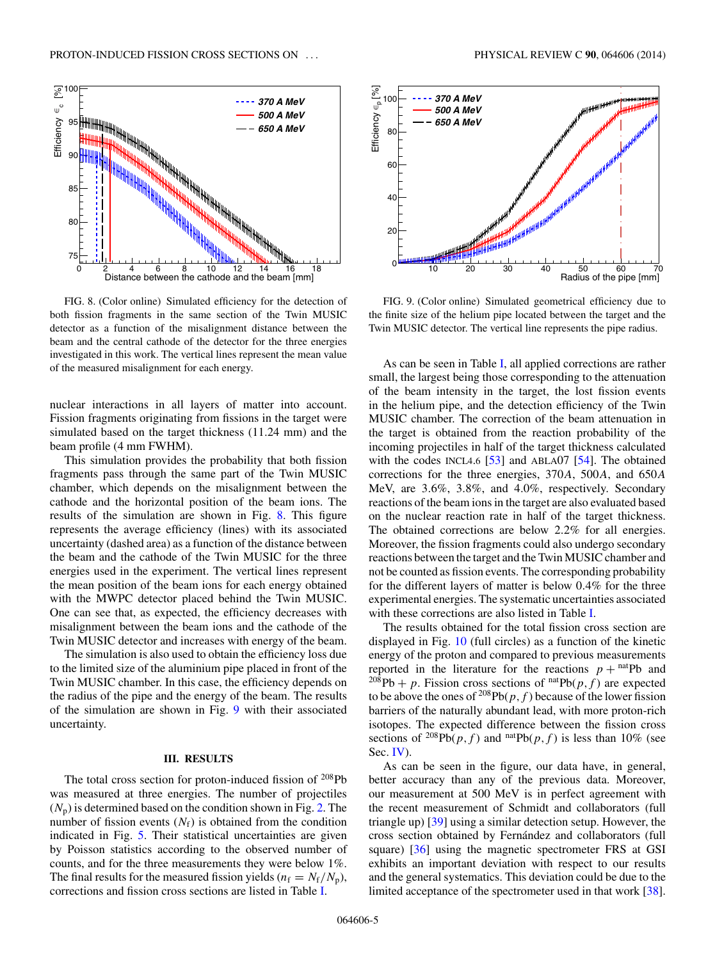<span id="page-4-0"></span>

FIG. 8. (Color online) Simulated efficiency for the detection of both fission fragments in the same section of the Twin MUSIC detector as a function of the misalignment distance between the beam and the central cathode of the detector for the three energies investigated in this work. The vertical lines represent the mean value of the measured misalignment for each energy.

nuclear interactions in all layers of matter into account. Fission fragments originating from fissions in the target were simulated based on the target thickness (11.24 mm) and the beam profile (4 mm FWHM).

This simulation provides the probability that both fission fragments pass through the same part of the Twin MUSIC chamber, which depends on the misalignment between the cathode and the horizontal position of the beam ions. The results of the simulation are shown in Fig. 8. This figure represents the average efficiency (lines) with its associated uncertainty (dashed area) as a function of the distance between the beam and the cathode of the Twin MUSIC for the three energies used in the experiment. The vertical lines represent the mean position of the beam ions for each energy obtained with the MWPC detector placed behind the Twin MUSIC. One can see that, as expected, the efficiency decreases with misalignment between the beam ions and the cathode of the Twin MUSIC detector and increases with energy of the beam.

The simulation is also used to obtain the efficiency loss due to the limited size of the aluminium pipe placed in front of the Twin MUSIC chamber. In this case, the efficiency depends on the radius of the pipe and the energy of the beam. The results of the simulation are shown in Fig. 9 with their associated uncertainty.

## **III. RESULTS**

The total cross section for proton-induced fission of  $208Pb$ was measured at three energies. The number of projectiles  $(N_p)$  is determined based on the condition shown in Fig. [2.](#page-2-0) The number of fission events  $(N_f)$  is obtained from the condition indicated in Fig. [5.](#page-3-0) Their statistical uncertainties are given by Poisson statistics according to the observed number of counts, and for the three measurements they were below 1%. The final results for the measured fission yields ( $n_f = N_f/N_p$ ), corrections and fission cross sections are listed in Table [I.](#page-5-0)



FIG. 9. (Color online) Simulated geometrical efficiency due to the finite size of the helium pipe located between the target and the Twin MUSIC detector. The vertical line represents the pipe radius.

As can be seen in Table [I,](#page-5-0) all applied corrections are rather small, the largest being those corresponding to the attenuation of the beam intensity in the target, the lost fission events in the helium pipe, and the detection efficiency of the Twin MUSIC chamber. The correction of the beam attenuation in the target is obtained from the reaction probability of the incoming projectiles in half of the target thickness calculated with the codes INCL4.6  $[53]$  and ABLA07  $[54]$ . The obtained corrections for the three energies, 370A, 500A, and 650A MeV, are 3.6%, 3.8%, and 4.0%, respectively. Secondary reactions of the beam ions in the target are also evaluated based on the nuclear reaction rate in half of the target thickness. The obtained corrections are below 2.2% for all energies. Moreover, the fission fragments could also undergo secondary reactions between the target and the Twin MUSIC chamber and not be counted as fission events. The corresponding probability for the different layers of matter is below 0.4% for the three experimental energies. The systematic uncertainties associated with these corrections are also listed in Table [I.](#page-5-0)

The results obtained for the total fission cross section are displayed in Fig. [10](#page-5-0) (full circles) as a function of the kinetic energy of the proton and compared to previous measurements reported in the literature for the reactions  $p + \text{natPb}$  and <sup>208</sup>Pb + p. Fission cross sections of  $<sup>nat</sup>Pb(p, f)$  are expected</sup> to be above the ones of <sup>208</sup>Pb( $p, f$ ) because of the lower fission barriers of the naturally abundant lead, with more proton-rich isotopes. The expected difference between the fission cross sections of  $^{208}Pb(p, f)$  and  $^{nat}Pb(p, f)$  is less than 10% (see Sec. [IV\)](#page-6-0).

As can be seen in the figure, our data have, in general, better accuracy than any of the previous data. Moreover, our measurement at 500 MeV is in perfect agreement with the recent measurement of Schmidt and collaborators (full triangle up) [\[39\]](#page-8-0) using a similar detection setup. However, the cross section obtained by Fernández and collaborators (full square) [\[36\]](#page-8-0) using the magnetic spectrometer FRS at GSI exhibits an important deviation with respect to our results and the general systematics. This deviation could be due to the limited acceptance of the spectrometer used in that work [\[38\]](#page-8-0).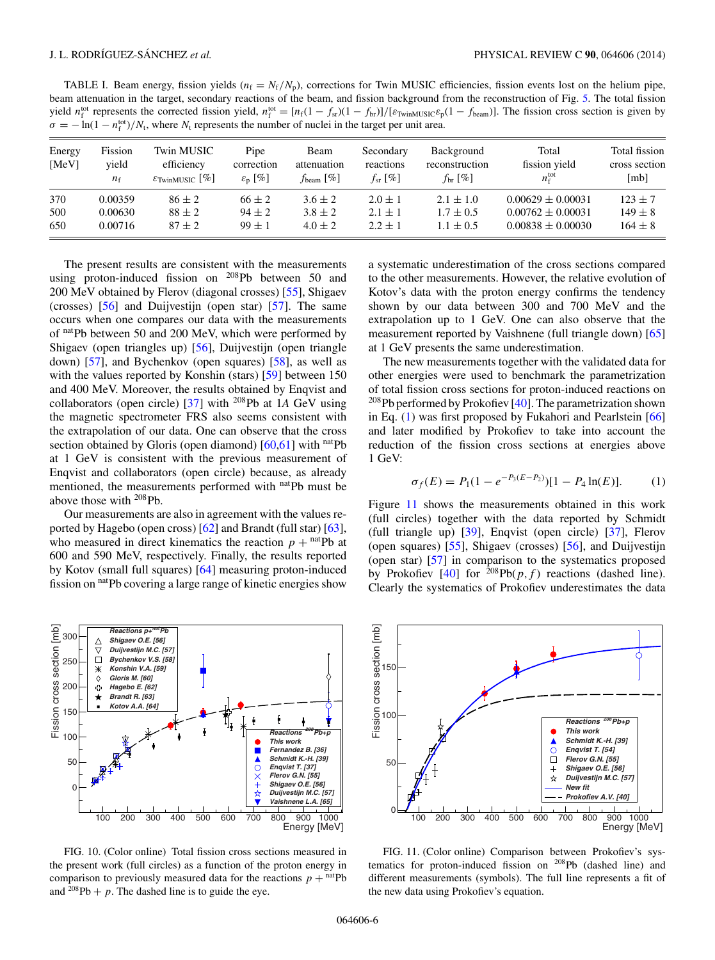<span id="page-5-0"></span>TABLE I. Beam energy, fission yields  $(n_f = N_f/N_p)$ , corrections for Twin MUSIC efficiencies, fission events lost on the helium pipe, beam attenuation in the target, secondary reactions of the beam, and fission background from the reconstruction of Fig. [5.](#page-3-0) The total fission yield  $n_f^{\text{tot}}$  represents the corrected fission yield,  $n_f^{\text{tot}} = \frac{n_f(1 - f_{\text{sr}})(1 - f_{\text{br}})}{F_{\text{tvinMUSIC}}\epsilon_p(1 - f_{\text{beam}})}$ . The fission cross section is given by  $\sigma = -\ln(1 - n_f^{\text{tot}})/N_t$ , where  $N_t$  represents the number of nuclei in the target per unit area.

| Energy<br>[MeV] | Fission<br>vield<br>$n_{\rm f}$ | Twin MUSIC<br>efficiency<br>$\varepsilon_{\text{TwinMUSIC}}$ [%] | Pipe<br>correction<br>$\varepsilon_{\rm n}$ [%] | Beam<br>attenuation<br>$f_{\text{beam}}$ [%] | Secondary<br>reactions<br>$f_{sr}$ [%] | Background<br>reconstruction<br>$f_{\rm hr}$ [%] | Total<br>fission yield<br>$n_{\rm f}^{\rm tot}$ | Total fission<br>cross section<br>[mb] |
|-----------------|---------------------------------|------------------------------------------------------------------|-------------------------------------------------|----------------------------------------------|----------------------------------------|--------------------------------------------------|-------------------------------------------------|----------------------------------------|
| 370             | 0.00359                         | $86 \pm 2$                                                       | $66 \pm 2$                                      | $3.6 \pm 2$                                  | $2.0 \pm 1$                            | $2.1 \pm 1.0$                                    | $0.00629 \pm 0.00031$                           | $123 \pm 7$                            |
| 500             | 0.00630                         | $88 \pm 2$                                                       | $94 \pm 2$                                      | $3.8 \pm 2$                                  | $2.1 + 1$                              | $1.7 \pm 0.5$                                    | $0.00762 \pm 0.00031$                           | $149 \pm 8$                            |
| 650             | 0.00716                         | $87 \pm 2$                                                       | $99 \pm 1$                                      | $4.0 \pm 2$                                  | $2.2 + 1$                              | $1.1 + 0.5$                                      | $0.00838 \pm 0.00030$                           | $164 \pm 8$                            |

The present results are consistent with the measurements using proton-induced fission on  $^{208}Pb$  between 50 and 200 MeV obtained by Flerov (diagonal crosses) [\[55\]](#page-9-0), Shigaev (crosses) [\[56\]](#page-9-0) and Duijvestijn (open star) [\[57\]](#page-9-0). The same occurs when one compares our data with the measurements of natPb between 50 and 200 MeV, which were performed by Shigaev (open triangles up) [\[56\]](#page-9-0), Duijvestijn (open triangle down) [\[57\]](#page-9-0), and Bychenkov (open squares) [\[58\]](#page-9-0), as well as with the values reported by Konshin (stars) [\[59\]](#page-9-0) between 150 and 400 MeV. Moreover, the results obtained by Enqvist and collaborators (open circle) [\[37\]](#page-8-0) with 208Pb at 1*A* GeV using the magnetic spectrometer FRS also seems consistent with the extrapolation of our data. One can observe that the cross section obtained by Gloris (open diamond)  $[60,61]$  with natPb at 1 GeV is consistent with the previous measurement of Enqvist and collaborators (open circle) because, as already mentioned, the measurements performed with natPb must be above those with 208Pb.

Our measurements are also in agreement with the values reported by Hagebo (open cross) [\[62\]](#page-9-0) and Brandt (full star) [\[63\]](#page-9-0), who measured in direct kinematics the reaction  $p +$ <sup>nat</sup>Pb at 600 and 590 MeV, respectively. Finally, the results reported by Kotov (small full squares) [\[64\]](#page-9-0) measuring proton-induced fission on natPb covering a large range of kinetic energies show



FIG. 10. (Color online) Total fission cross sections measured in the present work (full circles) as a function of the proton energy in comparison to previously measured data for the reactions  $p + \text{natPb}$ and  $^{208}Pb + p$ . The dashed line is to guide the eye.

a systematic underestimation of the cross sections compared to the other measurements. However, the relative evolution of Kotov's data with the proton energy confirms the tendency shown by our data between 300 and 700 MeV and the extrapolation up to 1 GeV. One can also observe that the measurement reported by Vaishnene (full triangle down) [\[65\]](#page-9-0) at 1 GeV presents the same underestimation.

The new measurements together with the validated data for other energies were used to benchmark the parametrization of total fission cross sections for proton-induced reactions on <sup>208</sup>Pb performed by Prokofiev [\[40\]](#page-8-0). The parametrization shown in Eq. (1) was first proposed by Fukahori and Pearlstein [\[66\]](#page-9-0) and later modified by Prokofiev to take into account the reduction of the fission cross sections at energies above 1 GeV:

$$
\sigma_f(E) = P_1(1 - e^{-P_3(E - P_2)})[1 - P_4 \ln(E)]. \tag{1}
$$

Figure 11 shows the measurements obtained in this work (full circles) together with the data reported by Schmidt (full triangle up) [\[39\]](#page-8-0), Enqvist (open circle) [\[37\]](#page-8-0), Flerov (open squares) [\[55\]](#page-9-0), Shigaev (crosses) [\[56\]](#page-9-0), and Duijvestijn (open star) [\[57\]](#page-9-0) in comparison to the systematics proposed by Prokofiev  $[40]$  for  $^{208}Pb(p, f)$  reactions (dashed line). Clearly the systematics of Prokofiev underestimates the data



FIG. 11. (Color online) Comparison between Prokofiev's systematics for proton-induced fission on 208Pb (dashed line) and different measurements (symbols). The full line represents a fit of the new data using Prokofiev's equation.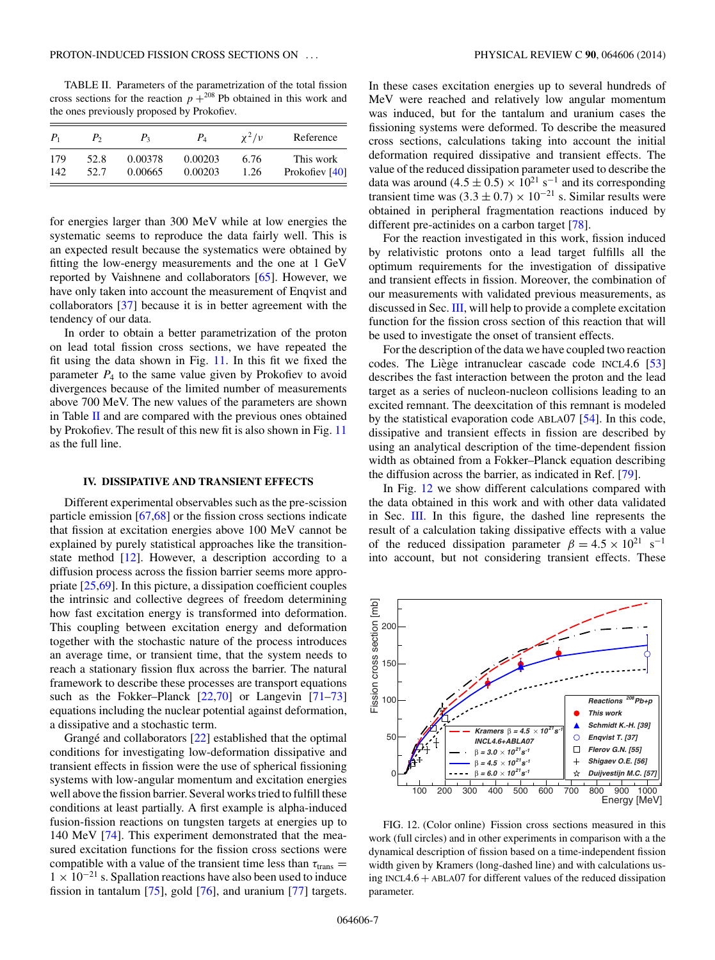<span id="page-6-0"></span>TABLE II. Parameters of the parametrization of the total fission cross sections for the reaction  $p + 208$  Pb obtained in this work and the ones previously proposed by Prokofiev.

| $P_{1}$ | P,   | $P_{3}$ | $P_{4}$ | $\chi^2/\nu$ | Reference      |
|---------|------|---------|---------|--------------|----------------|
| 179     | 52.8 | 0.00378 | 0.00203 | 6.76         | This work      |
| 142     | 52.7 | 0.00665 | 0.00203 | 1.26         | Prokofiev [40] |

for energies larger than 300 MeV while at low energies the systematic seems to reproduce the data fairly well. This is an expected result because the systematics were obtained by fitting the low-energy measurements and the one at 1 GeV reported by Vaishnene and collaborators [\[65\]](#page-9-0). However, we have only taken into account the measurement of Enqvist and collaborators [\[37\]](#page-8-0) because it is in better agreement with the tendency of our data.

In order to obtain a better parametrization of the proton on lead total fission cross sections, we have repeated the fit using the data shown in Fig. [11.](#page-5-0) In this fit we fixed the parameter  $P_4$  to the same value given by Prokofiev to avoid divergences because of the limited number of measurements above 700 MeV. The new values of the parameters are shown in Table II and are compared with the previous ones obtained by Prokofiev. The result of this new fit is also shown in Fig. [11](#page-5-0) as the full line.

#### **IV. DISSIPATIVE AND TRANSIENT EFFECTS**

Different experimental observables such as the pre-scission particle emission [\[67,68\]](#page-9-0) or the fission cross sections indicate that fission at excitation energies above 100 MeV cannot be explained by purely statistical approaches like the transitionstate method [\[12\]](#page-8-0). However, a description according to a diffusion process across the fission barrier seems more appropriate [\[25](#page-8-0)[,69\]](#page-9-0). In this picture, a dissipation coefficient couples the intrinsic and collective degrees of freedom determining how fast excitation energy is transformed into deformation. This coupling between excitation energy and deformation together with the stochastic nature of the process introduces an average time, or transient time, that the system needs to reach a stationary fission flux across the barrier. The natural framework to describe these processes are transport equations such as the Fokker–Planck [\[22](#page-8-0)[,70\]](#page-9-0) or Langevin [\[71–73\]](#page-9-0) equations including the nuclear potential against deformation, a dissipative and a stochastic term.

Grangé and collaborators  $[22]$  $[22]$  established that the optimal conditions for investigating low-deformation dissipative and transient effects in fission were the use of spherical fissioning systems with low-angular momentum and excitation energies well above the fission barrier. Several works tried to fulfill these conditions at least partially. A first example is alpha-induced fusion-fission reactions on tungsten targets at energies up to 140 MeV [\[74\]](#page-9-0). This experiment demonstrated that the measured excitation functions for the fission cross sections were compatible with a value of the transient time less than  $\tau_{trans}$  =  $1 \times 10^{-21}$  s. Spallation reactions have also been used to induce fission in tantalum [\[75\]](#page-9-0), gold [\[76\]](#page-9-0), and uranium [\[77\]](#page-9-0) targets.

In these cases excitation energies up to several hundreds of MeV were reached and relatively low angular momentum was induced, but for the tantalum and uranium cases the fissioning systems were deformed. To describe the measured cross sections, calculations taking into account the initial deformation required dissipative and transient effects. The value of the reduced dissipation parameter used to describe the data was around (4.5 ± 0.5) ×  $10^{21}$  s<sup>-1</sup> and its corresponding transient time was  $(3.3 \pm 0.7) \times 10^{-21}$  s. Similar results were obtained in peripheral fragmentation reactions induced by different pre-actinides on a carbon target [\[78\]](#page-9-0).

For the reaction investigated in this work, fission induced by relativistic protons onto a lead target fulfills all the optimum requirements for the investigation of dissipative and transient effects in fission. Moreover, the combination of our measurements with validated previous measurements, as discussed in Sec. [III,](#page-4-0) will help to provide a complete excitation function for the fission cross section of this reaction that will be used to investigate the onset of transient effects.

For the description of the data we have coupled two reaction codes. The Liège intranuclear cascade code INCL4.6 [\[53\]](#page-8-0) describes the fast interaction between the proton and the lead target as a series of nucleon-nucleon collisions leading to an excited remnant. The deexcitation of this remnant is modeled by the statistical evaporation code ABLA07 [\[54\]](#page-8-0). In this code, dissipative and transient effects in fission are described by using an analytical description of the time-dependent fission width as obtained from a Fokker–Planck equation describing the diffusion across the barrier, as indicated in Ref. [\[79\]](#page-9-0).

In Fig. 12 we show different calculations compared with the data obtained in this work and with other data validated in Sec. [III.](#page-4-0) In this figure, the dashed line represents the result of a calculation taking dissipative effects with a value of the reduced dissipation parameter  $\beta = 4.5 \times 10^{21} \text{ s}^{-1}$ into account, but not considering transient effects. These



FIG. 12. (Color online) Fission cross sections measured in this work (full circles) and in other experiments in comparison with a the dynamical description of fission based on a time-independent fission width given by Kramers (long-dashed line) and with calculations using INCL4.6 + ABLA07 for different values of the reduced dissipation parameter.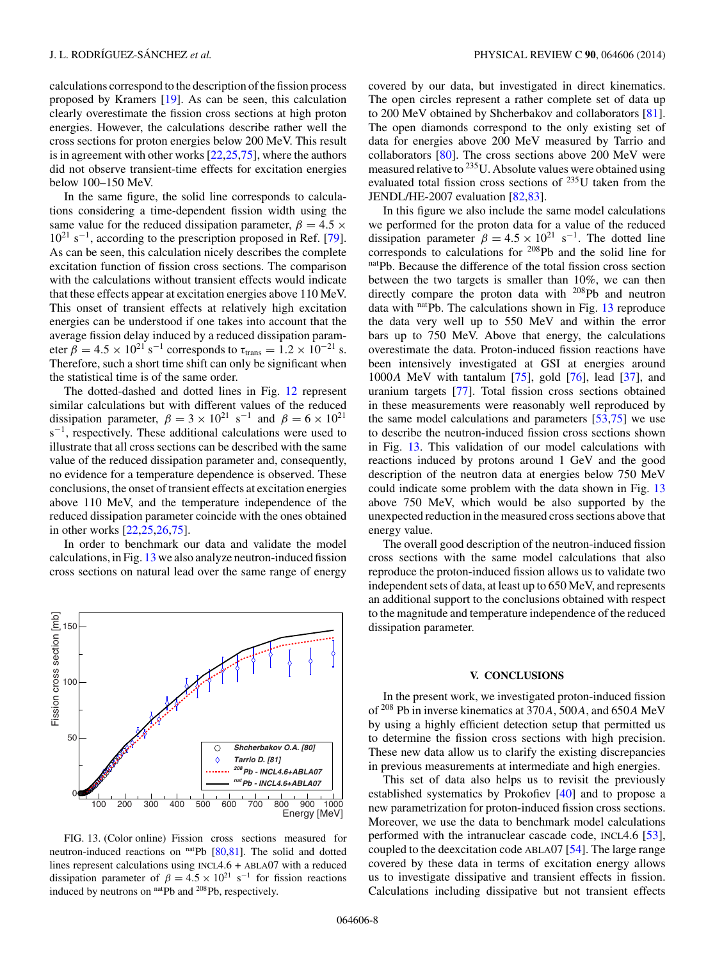calculations correspond to the description of the fission process proposed by Kramers [\[19\]](#page-8-0). As can be seen, this calculation clearly overestimate the fission cross sections at high proton energies. However, the calculations describe rather well the cross sections for proton energies below 200 MeV. This result is in agreement with other works [\[22,25,](#page-8-0)[75\]](#page-9-0), where the authors did not observe transient-time effects for excitation energies below 100–150 MeV.

In the same figure, the solid line corresponds to calculations considering a time-dependent fission width using the same value for the reduced dissipation parameter,  $\beta = 4.5 \times$ 1021 s−1, according to the prescription proposed in Ref. [\[79\]](#page-9-0). As can be seen, this calculation nicely describes the complete excitation function of fission cross sections. The comparison with the calculations without transient effects would indicate that these effects appear at excitation energies above 110 MeV. This onset of transient effects at relatively high excitation energies can be understood if one takes into account that the average fission delay induced by a reduced dissipation parameter  $\beta = 4.5 \times 10^{21} \text{ s}^{-1}$  corresponds to  $\tau_{trans} = 1.2 \times 10^{-21} \text{ s}.$ Therefore, such a short time shift can only be significant when the statistical time is of the same order.

The dotted-dashed and dotted lines in Fig. [12](#page-6-0) represent similar calculations but with different values of the reduced dissipation parameter,  $\beta = 3 \times 10^{21} \text{ s}^{-1}$  and  $\beta = 6 \times 10^{21}$ s<sup>-1</sup>, respectively. These additional calculations were used to illustrate that all cross sections can be described with the same value of the reduced dissipation parameter and, consequently, no evidence for a temperature dependence is observed. These conclusions, the onset of transient effects at excitation energies above 110 MeV, and the temperature independence of the reduced dissipation parameter coincide with the ones obtained in other works [\[22,25,26,](#page-8-0)[75\]](#page-9-0).

In order to benchmark our data and validate the model calculations, in Fig. 13 we also analyze neutron-induced fission cross sections on natural lead over the same range of energy



FIG. 13. (Color online) Fission cross sections measured for neutron-induced reactions on natPb [\[80,81\]](#page-9-0). The solid and dotted lines represent calculations using INCL4.6 + ABLA07 with a reduced dissipation parameter of  $\beta = 4.5 \times 10^{21} \text{ s}^{-1}$  for fission reactions induced by neutrons on natPb and <sup>208</sup>Pb, respectively.

covered by our data, but investigated in direct kinematics. The open circles represent a rather complete set of data up to 200 MeV obtained by Shcherbakov and collaborators [\[81\]](#page-9-0). The open diamonds correspond to the only existing set of data for energies above 200 MeV measured by Tarrio and collaborators [\[80\]](#page-9-0). The cross sections above 200 MeV were measured relative to 235U. Absolute values were obtained using evaluated total fission cross sections of 235U taken from the JENDL/HE-2007 evaluation [\[82,83\]](#page-9-0).

In this figure we also include the same model calculations we performed for the proton data for a value of the reduced dissipation parameter  $\beta = 4.5 \times 10^{21} \text{ s}^{-1}$ . The dotted line corresponds to calculations for <sup>208</sup>Pb and the solid line for natPb. Because the difference of the total fission cross section between the two targets is smaller than 10%, we can then directly compare the proton data with 208Pb and neutron data with natpb. The calculations shown in Fig. 13 reproduce the data very well up to 550 MeV and within the error bars up to 750 MeV. Above that energy, the calculations overestimate the data. Proton-induced fission reactions have been intensively investigated at GSI at energies around 1000A MeV with tantalum  $[75]$ , gold  $[76]$ , lead  $[37]$ , and uranium targets [\[77\]](#page-9-0). Total fission cross sections obtained in these measurements were reasonably well reproduced by the same model calculations and parameters [\[53](#page-8-0)[,75\]](#page-9-0) we use to describe the neutron-induced fission cross sections shown in Fig. 13. This validation of our model calculations with reactions induced by protons around 1 GeV and the good description of the neutron data at energies below 750 MeV could indicate some problem with the data shown in Fig. 13 above 750 MeV, which would be also supported by the unexpected reduction in the measured cross sections above that energy value.

The overall good description of the neutron-induced fission cross sections with the same model calculations that also reproduce the proton-induced fission allows us to validate two independent sets of data, at least up to 650 MeV, and represents an additional support to the conclusions obtained with respect to the magnitude and temperature independence of the reduced dissipation parameter.

## **V. CONCLUSIONS**

In the present work, we investigated proton-induced fission of <sup>208</sup> Pb in inverse kinematics at 370A, 500A, and 650A MeV by using a highly efficient detection setup that permitted us to determine the fission cross sections with high precision. These new data allow us to clarify the existing discrepancies in previous measurements at intermediate and high energies.

This set of data also helps us to revisit the previously established systematics by Prokofiev [\[40\]](#page-8-0) and to propose a new parametrization for proton-induced fission cross sections. Moreover, we use the data to benchmark model calculations performed with the intranuclear cascade code, INCL4.6 [\[53\]](#page-8-0), coupled to the deexcitation code ABLA07 [\[54\]](#page-8-0). The large range covered by these data in terms of excitation energy allows us to investigate dissipative and transient effects in fission. Calculations including dissipative but not transient effects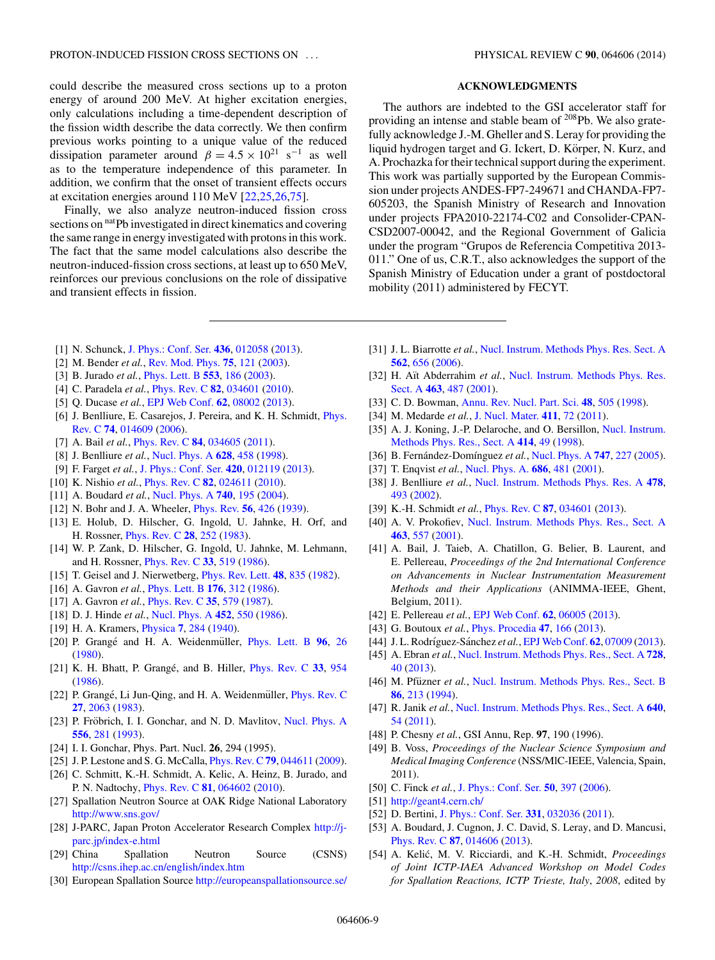<span id="page-8-0"></span>could describe the measured cross sections up to a proton energy of around 200 MeV. At higher excitation energies, only calculations including a time-dependent description of the fission width describe the data correctly. We then confirm previous works pointing to a unique value of the reduced dissipation parameter around  $\beta = 4.5 \times 10^{21} \text{ s}^{-1}$  as well as to the temperature independence of this parameter. In addition, we confirm that the onset of transient effects occurs at excitation energies around 110 MeV [22,25,26[,75\]](#page-9-0).

Finally, we also analyze neutron-induced fission cross sections on <sup>nat</sup>Pb investigated in direct kinematics and covering the same range in energy investigated with protons in this work. The fact that the same model calculations also describe the neutron-induced-fission cross sections, at least up to 650 MeV, reinforces our previous conclusions on the role of dissipative and transient effects in fission.

- [1] N. Schunck, [J. Phys.: Conf. Ser.](http://dx.doi.org/10.1088/1742-6596/436/1/012058) **[436](http://dx.doi.org/10.1088/1742-6596/436/1/012058)**, [012058](http://dx.doi.org/10.1088/1742-6596/436/1/012058) [\(2013\)](http://dx.doi.org/10.1088/1742-6596/436/1/012058).
- [2] M. Bender *et al.*, [Rev. Mod. Phys.](http://dx.doi.org/10.1103/RevModPhys.75.121) **[75](http://dx.doi.org/10.1103/RevModPhys.75.121)**, [121](http://dx.doi.org/10.1103/RevModPhys.75.121) [\(2003\)](http://dx.doi.org/10.1103/RevModPhys.75.121).
- [3] B. Jurado *et al.*, [Phys. Lett. B](http://dx.doi.org/10.1016/S0370-2693(02)03234-3) **[553](http://dx.doi.org/10.1016/S0370-2693(02)03234-3)**, [186](http://dx.doi.org/10.1016/S0370-2693(02)03234-3) [\(2003\)](http://dx.doi.org/10.1016/S0370-2693(02)03234-3).
- [4] C. Paradela *et al.*, [Phys. Rev. C](http://dx.doi.org/10.1103/PhysRevC.82.034601) **[82](http://dx.doi.org/10.1103/PhysRevC.82.034601)**, [034601](http://dx.doi.org/10.1103/PhysRevC.82.034601) [\(2010\)](http://dx.doi.org/10.1103/PhysRevC.82.034601).
- [5] Q. Ducase *et al.*, [EPJ Web Conf.](http://dx.doi.org/10.1051/epjconf/20136208002) **[62](http://dx.doi.org/10.1051/epjconf/20136208002)**, [08002](http://dx.doi.org/10.1051/epjconf/20136208002) [\(2013\)](http://dx.doi.org/10.1051/epjconf/20136208002).
- [6] [J. Benlliure, E. Casarejos, J. Pereira, and K. H. Schmidt,](http://dx.doi.org/10.1103/PhysRevC.74.014609) *Phys.* Rev. C **[74](http://dx.doi.org/10.1103/PhysRevC.74.014609)**, [014609](http://dx.doi.org/10.1103/PhysRevC.74.014609) [\(2006\)](http://dx.doi.org/10.1103/PhysRevC.74.014609).
- [7] A. Bail *et al.*, [Phys. Rev. C](http://dx.doi.org/10.1103/PhysRevC.84.034605) **[84](http://dx.doi.org/10.1103/PhysRevC.84.034605)**, [034605](http://dx.doi.org/10.1103/PhysRevC.84.034605) [\(2011\)](http://dx.doi.org/10.1103/PhysRevC.84.034605).
- [8] J. Benlliure *et al.*, [Nucl. Phys. A](http://dx.doi.org/10.1016/S0375-9474(97)00607-6) **[628](http://dx.doi.org/10.1016/S0375-9474(97)00607-6)**, [458](http://dx.doi.org/10.1016/S0375-9474(97)00607-6) [\(1998\)](http://dx.doi.org/10.1016/S0375-9474(97)00607-6).
- [9] F. Farget *et al.*, [J. Phys.: Conf. Ser.](http://dx.doi.org/10.1088/1742-6596/420/1/012119) **[420](http://dx.doi.org/10.1088/1742-6596/420/1/012119)**, [012119](http://dx.doi.org/10.1088/1742-6596/420/1/012119) [\(2013\)](http://dx.doi.org/10.1088/1742-6596/420/1/012119).
- [10] K. Nishio *et al.*, [Phys. Rev. C](http://dx.doi.org/10.1103/PhysRevC.82.024611) **[82](http://dx.doi.org/10.1103/PhysRevC.82.024611)**, [024611](http://dx.doi.org/10.1103/PhysRevC.82.024611) [\(2010\)](http://dx.doi.org/10.1103/PhysRevC.82.024611).
- [11] A. Boudard *et al.*, [Nucl. Phys. A](http://dx.doi.org/10.1016/j.nuclphysa.2004.05.003) **[740](http://dx.doi.org/10.1016/j.nuclphysa.2004.05.003)**, [195](http://dx.doi.org/10.1016/j.nuclphysa.2004.05.003) [\(2004\)](http://dx.doi.org/10.1016/j.nuclphysa.2004.05.003).
- [12] N. Bohr and J. A. Wheeler, [Phys. Rev.](http://dx.doi.org/10.1103/PhysRev.56.426) **[56](http://dx.doi.org/10.1103/PhysRev.56.426)**, [426](http://dx.doi.org/10.1103/PhysRev.56.426) [\(1939\)](http://dx.doi.org/10.1103/PhysRev.56.426).
- [13] E. Holub, D. Hilscher, G. Ingold, U. Jahnke, H. Orf, and H. Rossner, [Phys. Rev. C](http://dx.doi.org/10.1103/PhysRevC.28.252) **[28](http://dx.doi.org/10.1103/PhysRevC.28.252)**, [252](http://dx.doi.org/10.1103/PhysRevC.28.252) [\(1983\)](http://dx.doi.org/10.1103/PhysRevC.28.252).
- [14] W. P. Zank, D. Hilscher, G. Ingold, U. Jahnke, M. Lehmann, and H. Rossner, [Phys. Rev. C](http://dx.doi.org/10.1103/PhysRevC.33.519) **[33](http://dx.doi.org/10.1103/PhysRevC.33.519)**, [519](http://dx.doi.org/10.1103/PhysRevC.33.519) [\(1986\)](http://dx.doi.org/10.1103/PhysRevC.33.519).
- [15] T. Geisel and J. Nierwetberg, [Phys. Rev. Lett.](http://dx.doi.org/10.1103/PhysRevLett.48.835) **[48](http://dx.doi.org/10.1103/PhysRevLett.48.835)**, [835](http://dx.doi.org/10.1103/PhysRevLett.48.835) [\(1982\)](http://dx.doi.org/10.1103/PhysRevLett.48.835).
- [16] A. Gavron *et al.*, [Phys. Lett. B](http://dx.doi.org/10.1016/0370-2693(86)90170-X) **[176](http://dx.doi.org/10.1016/0370-2693(86)90170-X)**, [312](http://dx.doi.org/10.1016/0370-2693(86)90170-X) [\(1986\)](http://dx.doi.org/10.1016/0370-2693(86)90170-X).
- [17] A. Gavron *et al.*, [Phys. Rev. C](http://dx.doi.org/10.1103/PhysRevC.35.579) **[35](http://dx.doi.org/10.1103/PhysRevC.35.579)**, [579](http://dx.doi.org/10.1103/PhysRevC.35.579) [\(1987\)](http://dx.doi.org/10.1103/PhysRevC.35.579).
- [18] D. J. Hinde *et al.*, [Nucl. Phys. A](http://dx.doi.org/10.1016/0375-9474(86)90214-9) **[452](http://dx.doi.org/10.1016/0375-9474(86)90214-9)**, [550](http://dx.doi.org/10.1016/0375-9474(86)90214-9) [\(1986\)](http://dx.doi.org/10.1016/0375-9474(86)90214-9).
- [19] H. A. Kramers, [Physica](http://dx.doi.org/10.1016/S0031-8914(40)90098-2) **[7](http://dx.doi.org/10.1016/S0031-8914(40)90098-2)**, [284](http://dx.doi.org/10.1016/S0031-8914(40)90098-2) [\(1940\)](http://dx.doi.org/10.1016/S0031-8914(40)90098-2).
- [20] P. Grangé and H. A. Weidenmüller, [Phys. Lett. B](http://dx.doi.org/10.1016/0370-2693(80)90204-X) [96](http://dx.doi.org/10.1016/0370-2693(80)90204-X), [26](http://dx.doi.org/10.1016/0370-2693(80)90204-X) [\(1980\)](http://dx.doi.org/10.1016/0370-2693(80)90204-X).
- [21] K. H. Bhatt, P. Grangé, and B. Hiller, *[Phys. Rev. C](http://dx.doi.org/10.1103/PhysRevC.33.954)* [33](http://dx.doi.org/10.1103/PhysRevC.33.954), [954](http://dx.doi.org/10.1103/PhysRevC.33.954) [\(1986\)](http://dx.doi.org/10.1103/PhysRevC.33.954).
- [22] P. Grangé, Li Jun-Qing, and H. A. Weidenmüller, *[Phys. Rev. C](http://dx.doi.org/10.1103/PhysRevC.27.2063)* **[27](http://dx.doi.org/10.1103/PhysRevC.27.2063)**, [2063](http://dx.doi.org/10.1103/PhysRevC.27.2063) [\(1983\)](http://dx.doi.org/10.1103/PhysRevC.27.2063).
- [23] P. Fröbrich, I. I. Gonchar, and N. D. Mavlitov, [Nucl. Phys. A](http://dx.doi.org/10.1016/0375-9474(93)90352-X) **[556](http://dx.doi.org/10.1016/0375-9474(93)90352-X)**, [281](http://dx.doi.org/10.1016/0375-9474(93)90352-X) [\(1993\)](http://dx.doi.org/10.1016/0375-9474(93)90352-X).
- [24] I. I. Gonchar, Phys. Part. Nucl. **26**, 294 (1995).
- [25] J. P. Lestone and S. G. McCalla, [Phys. Rev. C](http://dx.doi.org/10.1103/PhysRevC.79.044611) **[79](http://dx.doi.org/10.1103/PhysRevC.79.044611)**, [044611](http://dx.doi.org/10.1103/PhysRevC.79.044611) [\(2009\)](http://dx.doi.org/10.1103/PhysRevC.79.044611).
- [26] C. Schmitt, K.-H. Schmidt, A. Kelic, A. Heinz, B. Jurado, and P. N. Nadtochy, [Phys. Rev. C](http://dx.doi.org/10.1103/PhysRevC.81.064602) **[81](http://dx.doi.org/10.1103/PhysRevC.81.064602)**, [064602](http://dx.doi.org/10.1103/PhysRevC.81.064602) [\(2010\)](http://dx.doi.org/10.1103/PhysRevC.81.064602).
- [27] Spallation Neutron Source at OAK Ridge National Laboratory <http://www.sns.gov/>
- [28] [J-PARC, Japan Proton Accelerator Research Complex](http://j-parc.jp/index-e.html) http://jparc.jp/index-e.html
- [29] China Spallation Neutron Source (CSNS) <http://csns.ihep.ac.cn/english/index.htm>
- [30] European Spallation Source <http://europeanspallationsource.se/>

## **ACKNOWLEDGMENTS**

The authors are indebted to the GSI accelerator staff for providing an intense and stable beam of 208Pb. We also gratefully acknowledge J.-M. Gheller and S. Leray for providing the liquid hydrogen target and G. Ickert, D. Körper, N. Kurz, and A. Prochazka for their technical support during the experiment. This work was partially supported by the European Commission under projects ANDES-FP7-249671 and CHANDA-FP7- 605203, the Spanish Ministry of Research and Innovation under projects FPA2010-22174-C02 and Consolider-CPAN-CSD2007-00042, and the Regional Government of Galicia under the program "Grupos de Referencia Competitiva 2013- 011." One of us, C.R.T., also acknowledges the support of the Spanish Ministry of Education under a grant of postdoctoral mobility (2011) administered by FECYT.

- [31] J. L. Biarrotte *et al.*, [Nucl. Instrum. Methods Phys. Res. Sect. A](http://dx.doi.org/10.1016/j.nima.2006.02.127) **[562](http://dx.doi.org/10.1016/j.nima.2006.02.127)**, [656](http://dx.doi.org/10.1016/j.nima.2006.02.127) [\(2006\)](http://dx.doi.org/10.1016/j.nima.2006.02.127).
- [32] H. Aït Abderrahim et al., [Nucl. Instrum. Methods Phys. Res.](http://dx.doi.org/10.1016/S0168-9002(01)00164-4) Sect. A **[463](http://dx.doi.org/10.1016/S0168-9002(01)00164-4)**, [487](http://dx.doi.org/10.1016/S0168-9002(01)00164-4) [\(2001\)](http://dx.doi.org/10.1016/S0168-9002(01)00164-4).
- [33] C. D. Bowman, [Annu. Rev. Nucl. Part. Sci.](http://dx.doi.org/10.1146/annurev.nucl.48.1.505) **[48](http://dx.doi.org/10.1146/annurev.nucl.48.1.505)**, [505](http://dx.doi.org/10.1146/annurev.nucl.48.1.505) [\(1998\)](http://dx.doi.org/10.1146/annurev.nucl.48.1.505).
- [34] M. Medarde *et al.*, [J. Nucl. Mater.](http://dx.doi.org/10.1016/j.jnucmat.2011.01.034) **[411](http://dx.doi.org/10.1016/j.jnucmat.2011.01.034)**, [72](http://dx.doi.org/10.1016/j.jnucmat.2011.01.034) [\(2011\)](http://dx.doi.org/10.1016/j.jnucmat.2011.01.034).
- [35] [A. J. Koning, J.-P. Delaroche, and O. Bersillon,](http://dx.doi.org/10.1016/S0168-9002(98)00528-2) Nucl. Instrum. Methods Phys. Res., Sect. A **[414](http://dx.doi.org/10.1016/S0168-9002(98)00528-2)**, [49](http://dx.doi.org/10.1016/S0168-9002(98)00528-2) [\(1998\)](http://dx.doi.org/10.1016/S0168-9002(98)00528-2).
- [36] B. Fernández-Domínguez et al., [Nucl. Phys. A](http://dx.doi.org/10.1016/j.nuclphysa.2004.10.013) **[747](http://dx.doi.org/10.1016/j.nuclphysa.2004.10.013)**, [227](http://dx.doi.org/10.1016/j.nuclphysa.2004.10.013) [\(2005\)](http://dx.doi.org/10.1016/j.nuclphysa.2004.10.013).
- [37] T. Enqvist *et al.*, [Nucl. Phys. A.](http://dx.doi.org/10.1016/S0375-9474(00)00563-7) **[686](http://dx.doi.org/10.1016/S0375-9474(00)00563-7)**, [481](http://dx.doi.org/10.1016/S0375-9474(00)00563-7) [\(2001\)](http://dx.doi.org/10.1016/S0375-9474(00)00563-7).
- [38] J. Benlliure *et al.*, [Nucl. Instrum. Methods Phys. Res. A](http://dx.doi.org/10.1016/S0168-9002(01)00893-2) **[478](http://dx.doi.org/10.1016/S0168-9002(01)00893-2)**, [493](http://dx.doi.org/10.1016/S0168-9002(01)00893-2) [\(2002\)](http://dx.doi.org/10.1016/S0168-9002(01)00893-2).
- [39] K.-H. Schmidt *et al.*, [Phys. Rev. C](http://dx.doi.org/10.1103/PhysRevC.87.034601) **[87](http://dx.doi.org/10.1103/PhysRevC.87.034601)**, [034601](http://dx.doi.org/10.1103/PhysRevC.87.034601) [\(2013\)](http://dx.doi.org/10.1103/PhysRevC.87.034601).
- [40] A. V. Prokofiev, [Nucl. Instrum. Methods Phys. Res., Sect. A](http://dx.doi.org/10.1016/S0168-9002(01)00170-X) **[463](http://dx.doi.org/10.1016/S0168-9002(01)00170-X)**, [557](http://dx.doi.org/10.1016/S0168-9002(01)00170-X) [\(2001\)](http://dx.doi.org/10.1016/S0168-9002(01)00170-X).
- [41] A. Bail, J. Taieb, A. Chatillon, G. Belier, B. Laurent, and E. Pellereau, *Proceedings of the 2nd International Conference on Advancements in Nuclear Instrumentation Measurement Methods and their Applications* (ANIMMA-IEEE, Ghent, Belgium, 2011).
- [42] E. Pellereau *et al.*, [EPJ Web Conf.](http://dx.doi.org/10.1051/epjconf/20136206005) **[62](http://dx.doi.org/10.1051/epjconf/20136206005)**, [06005](http://dx.doi.org/10.1051/epjconf/20136206005) [\(2013\)](http://dx.doi.org/10.1051/epjconf/20136206005).
- [43] G. Boutoux *et al.*, [Phys. Procedia](http://dx.doi.org/10.1016/j.phpro.2013.06.024) **[47](http://dx.doi.org/10.1016/j.phpro.2013.06.024)**, [166](http://dx.doi.org/10.1016/j.phpro.2013.06.024) [\(2013\)](http://dx.doi.org/10.1016/j.phpro.2013.06.024).
- [44] J. L. Rodríguez-Sánchez et al., [EPJ Web Conf.](http://dx.doi.org/10.1051/epjconf/20136207009) **[62](http://dx.doi.org/10.1051/epjconf/20136207009)**, [07009](http://dx.doi.org/10.1051/epjconf/20136207009) [\(2013\)](http://dx.doi.org/10.1051/epjconf/20136207009).
- [45] A. Ebran *et al.*, [Nucl. Instrum. Methods Phys. Res., Sect. A](http://dx.doi.org/10.1016/j.nima.2013.06.021) **[728](http://dx.doi.org/10.1016/j.nima.2013.06.021)**, [40](http://dx.doi.org/10.1016/j.nima.2013.06.021) [\(2013\)](http://dx.doi.org/10.1016/j.nima.2013.06.021).
- [46] M. Pfüzner et al., [Nucl. Instrum. Methods Phys. Res., Sect. B](http://dx.doi.org/10.1016/0168-583X(94)95280-9) **[86](http://dx.doi.org/10.1016/0168-583X(94)95280-9)**, [213](http://dx.doi.org/10.1016/0168-583X(94)95280-9) [\(1994\)](http://dx.doi.org/10.1016/0168-583X(94)95280-9).
- [47] R. Janik *et al.*, [Nucl. Instrum. Methods Phys. Res., Sect. A](http://dx.doi.org/10.1016/j.nima.2011.02.052) **[640](http://dx.doi.org/10.1016/j.nima.2011.02.052)**, [54](http://dx.doi.org/10.1016/j.nima.2011.02.052) [\(2011\)](http://dx.doi.org/10.1016/j.nima.2011.02.052).
- [48] P. Chesny *et al.*, GSI Annu, Rep. **97**, 190 (1996).
- [49] B. Voss, *Proceedings of the Nuclear Science Symposium and Medical Imaging Conference* (NSS/MlC-IEEE, Valencia, Spain, 2011).
- [50] C. Finck *et al.*, [J. Phys.: Conf. Ser.](http://dx.doi.org/10.1088/1742-6596/50/1/056) **[50](http://dx.doi.org/10.1088/1742-6596/50/1/056)**, [397](http://dx.doi.org/10.1088/1742-6596/50/1/056) [\(2006\)](http://dx.doi.org/10.1088/1742-6596/50/1/056).
- [51] <http://geant4.cern.ch/>
- [52] D. Bertini, [J. Phys.: Conf. Ser.](http://dx.doi.org/10.1088/1742-6596/331/3/032036) **[331](http://dx.doi.org/10.1088/1742-6596/331/3/032036)**, [032036](http://dx.doi.org/10.1088/1742-6596/331/3/032036) [\(2011\)](http://dx.doi.org/10.1088/1742-6596/331/3/032036).
- [53] A. Boudard, J. Cugnon, J. C. David, S. Leray, and D. Mancusi, [Phys. Rev. C](http://dx.doi.org/10.1103/PhysRevC.87.014606) **[87](http://dx.doi.org/10.1103/PhysRevC.87.014606)**, [014606](http://dx.doi.org/10.1103/PhysRevC.87.014606) [\(2013\)](http://dx.doi.org/10.1103/PhysRevC.87.014606).
- [54] A. Kelić, M. V. Ricciardi, and K.-H. Schmidt, Proceedings *of Joint ICTP-IAEA Advanced Workshop on Model Codes for Spallation Reactions, ICTP Trieste, Italy*, *2008*, edited by